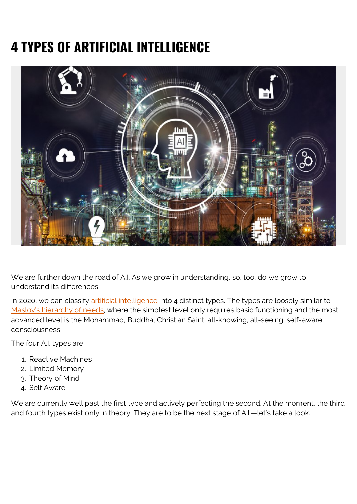# **4 TYPES OF ARTIFICIAL INTELLIGENCE**



We are further down the road of A.I. As we grow in understanding, so, too, do we grow to understand its differences.

In 2020, we can classify [artificial intelligence](https://blogs.bmc.com/blogs/artificial-intelligence-vs-machine-learning/) into 4 distinct types. The types are loosely similar to [Maslov's hierarchy of needs,](https://en.wikipedia.org/wiki/Maslow%27s_hierarchy_of_needs) where the simplest level only requires basic functioning and the most advanced level is the Mohammad, Buddha, Christian Saint, all-knowing, all-seeing, self-aware consciousness.

The four A.I. types are

- 1. Reactive Machines
- 2. Limited Memory
- 3. Theory of Mind
- 4. Self Aware

We are currently well past the first type and actively perfecting the second. At the moment, the third and fourth types exist only in theory. They are to be the next stage of A.I.—let's take a look.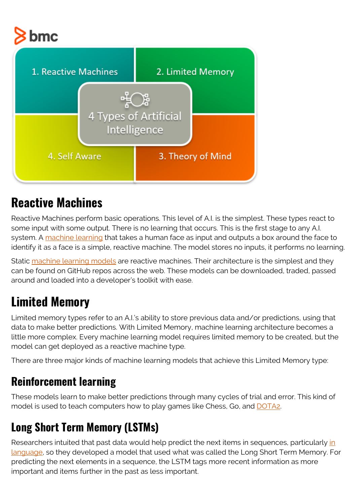



### **Reactive Machines**

Reactive Machines perform basic operations. This level of A.I. is the simplest. These types react to some input with some output. There is no learning that occurs. This is the first stage to any A.I. system. A [machine learning](https://www.bmc.com/blogs/machine-learning-cybersecurity/) that takes a human face as input and outputs a box around the face to identify it as a face is a simple, reactive machine. The model stores no inputs, it performs no learning.

Static [machine learning models](https://blogs.bmc.com/blogs/supervised-vs-unsupervised-aiops-machine-learning/) are reactive machines. Their architecture is the simplest and they can be found on GitHub repos across the web. These models can be downloaded, traded, passed around and loaded into a developer's toolkit with ease.

## **Limited Memory**

Limited memory types refer to an A.I.'s ability to store previous data and/or predictions, using that data to make better predictions. With Limited Memory, machine learning architecture becomes a little more complex. Every machine learning model requires limited memory to be created, but the model can get deployed as a reactive machine type.

There are three major kinds of machine learning models that achieve this Limited Memory type:

#### **Reinforcement learning**

These models learn to make better predictions through many cycles of trial and error. This kind of model is used to teach computers how to play games like Chess, Go, and [DOTA2.](https://openai.com/projects/five/)

### **Long Short Term Memory (LSTMs)**

Researchers [in](https://blogs.bmc.com/blogs/nlu-vs-nlp-natural-language-understanding-processing/)tuited that past data would help predict the next items in sequences, particularly in [language](https://blogs.bmc.com/blogs/nlu-vs-nlp-natural-language-understanding-processing/), so they developed a model that used what was called the Long Short Term Memory. For predicting the next elements in a sequence, the LSTM tags more recent information as more important and items further in the past as less important.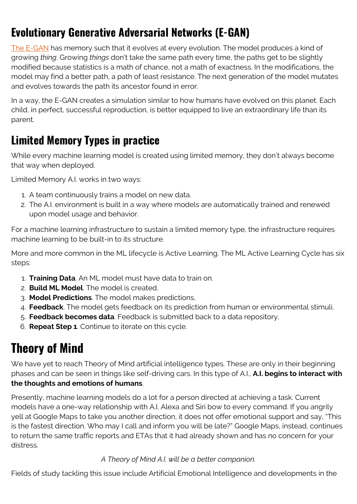### **Evolutionary Generative Adversarial Networks (E-GAN)**

[The E-GAN](https://arxiv.org/pdf/1803.00657.pdf) has memory such that it evolves at every evolution. The model produces a kind of growing *thing*. Growing *things* don't take the same path every time, the paths get to be slightly modified because statistics is a math of chance, not a math of exactness. In the modifications, the model may find a better path, a path of least resistance. The next generation of the model mutates and evolves towards the path its ancestor found in error.

In a way, the E-GAN creates a simulation similar to how humans have evolved on this planet. Each child, in perfect, successful reproduction, is better equipped to live an extraordinary life than its parent.

#### **Limited Memory Types in practice**

While every machine learning model is created using limited memory, they don't always become that way when deployed.

Limited Memory A.I. works in two ways:

- 1. A team continuously trains a model on new data.
- 2. The A.I. environment is built in a way where models are automatically trained and renewed upon model usage and behavior.

For a machine learning infrastructure to sustain a limited memory type, the infrastructure requires machine learning to be built-in to its structure.

More and more common in the ML lifecycle is Active Learning. The ML Active Learning Cycle has six steps:

- 1. **Training Data**. An ML model must have data to train on.
- 2. **Build ML Model**. The model is created.
- 3. **Model Predictions**. The model makes predictions,
- 4. **Feedback**. The model gets feedback on its prediction from human or environmental stimuli.
- 5. **Feedback becomes data**. Feedback is submitted back to a data repository.
- 6. **Repeat Step 1**. Continue to iterate on this cycle.

## **Theory of Mind**

We have yet to reach Theory of Mind artificial intelligence types. These are only in their beginning phases and can be seen in things like self-driving cars. In this type of A.I., **A.I. begins to interact with the thoughts and emotions of humans**.

Presently, machine learning models do a lot for a person directed at achieving a task. Current models have a one-way relationship with A.I. Alexa and Siri bow to every command. If you angrily yell at Google Maps to take you another direction, it does not offer emotional support and say, "This is the fastest direction. Who may I call and inform you will be late?" Google Maps, instead, continues to return the same traffic reports and ETAs that it had already shown and has no concern for your distress.

*A Theory of Mind A.I. will be a better companion.*

Fields of study tackling this issue include Artificial Emotional Intelligence and developments in the